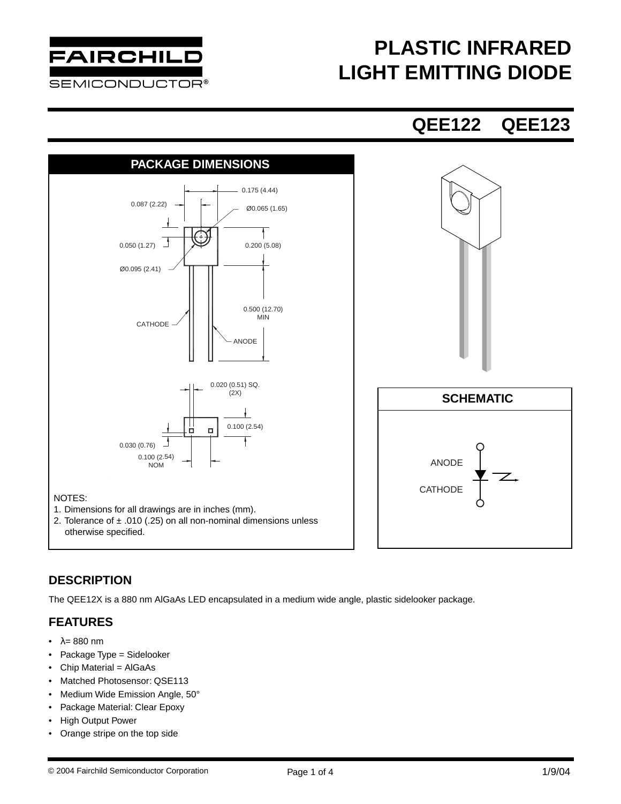

# **PLASTIC INFRARED LIGHT EMITTING DIODE**

### **QEE122 QEE123**



### **DESCRIPTION**

The QEE12X is a 880 nm AlGaAs LED encapsulated in a medium wide angle, plastic sidelooker package.

### **FEATURES**

- $\lambda = 880$  nm
- Package Type = Sidelooker
- Chip Material = AlGaAs
- Matched Photosensor: QSE113
- Medium Wide Emission Angle, 50°
- Package Material: Clear Epoxy
- High Output Power
- Orange stripe on the top side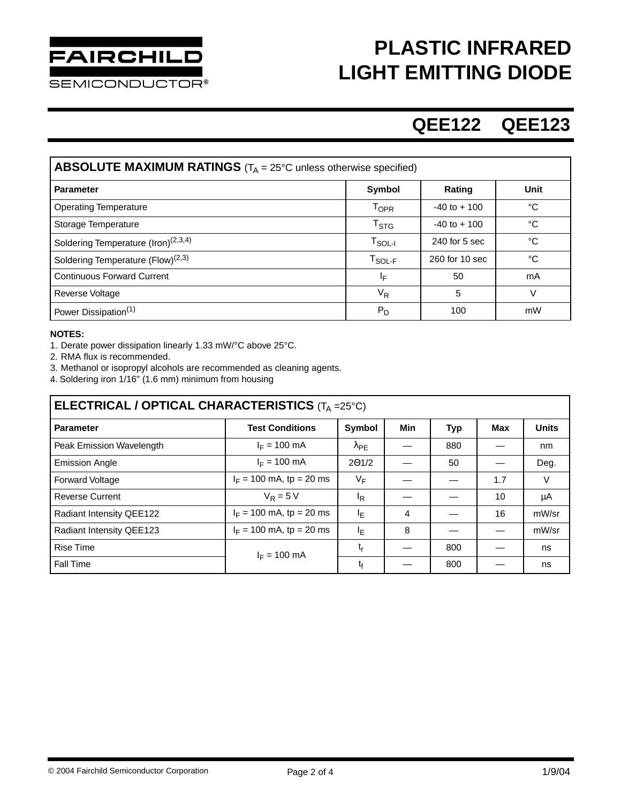

**SEMICONDUCTOR®** 

# **PLASTIC INFRARED LIGHT EMITTING DIODE**

## **QEE122 QEE123**

| <b>ABSOLUTE MAXIMUM RATINGS</b> ( $T_A = 25^{\circ}$ C unless otherwise specified) |                  |                 |        |  |  |  |  |  |
|------------------------------------------------------------------------------------|------------------|-----------------|--------|--|--|--|--|--|
| <b>Parameter</b>                                                                   | Symbol           | Rating          | Unit   |  |  |  |  |  |
| <b>Operating Temperature</b>                                                       | <b>TOPR</b>      | $-40$ to $+100$ | °C     |  |  |  |  |  |
| Storage Temperature                                                                | $T_{\text{STG}}$ | $-40$ to $+100$ | °C     |  |  |  |  |  |
| Soldering Temperature (Iron) <sup>(2,3,4)</sup>                                    | $T_{\sf SOL-I}$  | $240$ for 5 sec | °C     |  |  |  |  |  |
| Soldering Temperature (Flow) <sup>(2,3)</sup>                                      | $T_{SOL-F}$      | 260 for 10 sec  | °C     |  |  |  |  |  |
| <b>Continuous Forward Current</b>                                                  | ΙF               | 50              | mA     |  |  |  |  |  |
| <b>Reverse Voltage</b>                                                             | $V_R$            | 5               | $\vee$ |  |  |  |  |  |
| Power Dissipation <sup>(1)</sup>                                                   | $P_D$            | 100             | mW     |  |  |  |  |  |

#### **NOTES:**

1. Derate power dissipation linearly 1.33 mW/°C above 25°C.

2. RMA flux is recommended.

3. Methanol or isopropyl alcohols are recommended as cleaning agents.

4. Soldering iron 1/16" (1.6 mm) minimum from housing .

| ELECTRICAL / OPTICAL CHARACTERISTICS $(T_A = 25^{\circ}C)$ |                            |                    |     |            |     |              |  |  |
|------------------------------------------------------------|----------------------------|--------------------|-----|------------|-----|--------------|--|--|
| <b>Parameter</b>                                           | <b>Test Conditions</b>     | <b>Symbol</b>      | Min | <b>Typ</b> | Max | <b>Units</b> |  |  |
| Peak Emission Wavelength                                   | $I_F = 100 \text{ mA}$     | $\lambda_{\sf PE}$ |     | 880        |     | nm           |  |  |
| <b>Emission Angle</b>                                      | $I_F = 100 \text{ mA}$     | 201/2              |     | 50         |     | Deg.         |  |  |
| <b>Forward Voltage</b>                                     | $I_F = 100$ mA, tp = 20 ms | $V_F$              |     |            | 1.7 | V            |  |  |
| <b>Reverse Current</b>                                     | $V_R = 5 V$                | <sup>I</sup> R     |     |            | 10  | μA           |  |  |
| Radiant Intensity QEE122                                   | $I_F = 100$ mA, tp = 20 ms | ΙE                 | 4   |            | 16  | mW/sr        |  |  |
| Radiant Intensity QEE123                                   | $I_F = 100$ mA, tp = 20 ms | ΙĘ                 | 8   |            |     | mW/sr        |  |  |
| <b>Rise Time</b>                                           | $I_F = 100 \text{ mA}$     | t,                 |     | 800        |     | ns           |  |  |
| Fall Time                                                  |                            | t,                 |     | 800        |     | ns           |  |  |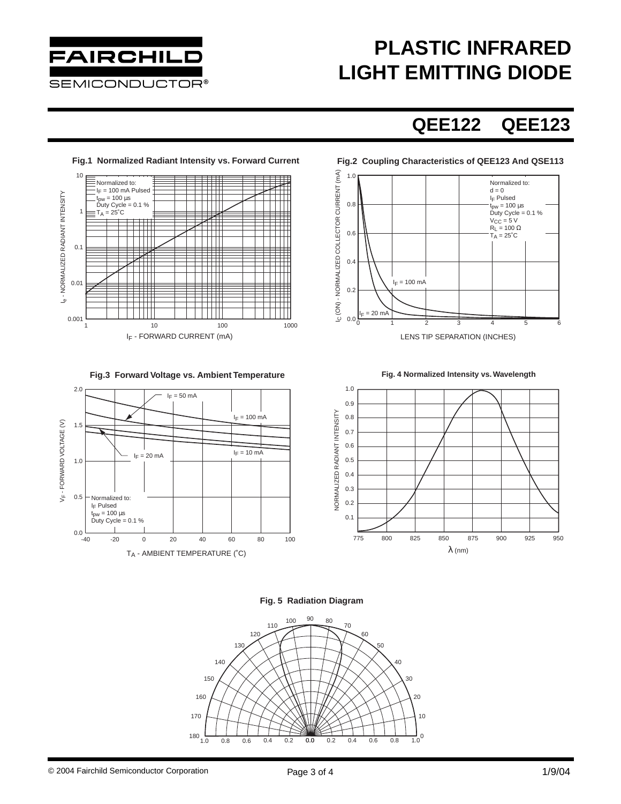

# **PLASTIC INFRARED LIGHT EMITTING DIODE**

## **QEE122 QEE123**



### **Fig.2 Coupling Characteristics of QEE123 And QSE113**



#### **Fig.3 Forward Voltage vs. Ambient Temperature**



#### **Fig. 5 Radiation Diagram**